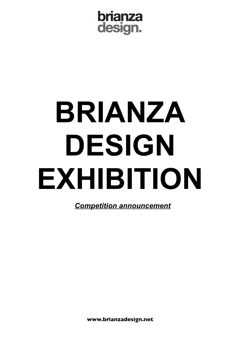brianza design.

# **BRIANZA DESIGN EXHIBITION**

*Competition announcement*

**www.brianzadesign.net**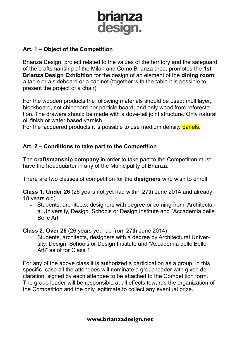

## **Art. 1 – Object of the Competition**

Brianza Design, project related to the values of the territory and the safeguard of the craftsmanship of the Milan and Como Brianza area, promotes the **1st Brianza Design Exhibition** for the design of an element of the **dining room**: a table or a sideboard or a cabinet (together with the table it is possible to present the project of a chair).

For the wooden products the following materials should be used: multilayer, blockboard, not chipboard nor particle board, and only wood from reforestation. The drawers should be made with a dove-tail joint structure. Only natural oil finish or water based varnish.

For the lacquered products it is possible to use medium density panels.

## **Art. 2 – Conditions to take part to the Competition**

The **craftsmanship company** in order to take part to the Competition must have the headquarter in any of the Municipality of Brianza.

There are two classes of competition for the **designers** who wish to enroll

**Class 1**: **Under 26** (26 years not yet had within 27th June 2014 and already 18 years old)

- Students, architects, designers with degree or coming from Architectural University, Design, Schools or Design Institute and "Accademia delle Belle Arti"

**Class 2**: **Over 26** (26 years yet had from 27th June 2014)

- Students, architects, designers with a degree by Architectural University, Design, Schools or Design Institute and "Accademia delle Belle Arti" as of for Class 1

For any of the above class it is authorized a participation as a group, in this specific case all the attendees will nominate a group leader with given declaration, signed by each attendee to be attached to the Competition form. The group leader will be responsible at all effects towards the organization of the Competition and the only legitimate to collect any eventual prize.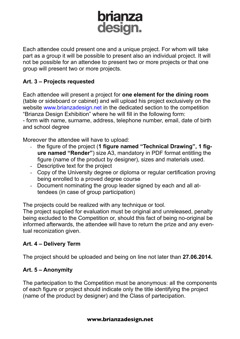## brianza<br>design.

Each attendee could present one and a unique project. For whom will take part as a group it will be possible to present also an individual project. It will not be possible for an attendee to present two or more projects or that one group will present two or more projects.

## **Art. 3 – Projects requested**

Each attendee will present a project for **one element for the dining room** (table or sideboard or cabinet) and will upload his project exclusively on the website www.brianzadesign.net in the dedicated section to the competition "Brianza Design Exhibition" where he will fill in the following form:

- form with name, surname, address, telephone number, email, date of birth and school degree

Moreover the attendee will have to upload:

- the figure of the project (**1 figure named "Technical Drawing", 1 figure named "Render"**) size A3, mandatory in PDF format entitling the figure (name of the product by designer), sizes and materials used.
- Descriptive text for the project
- Copy of the University degree or diploma or regular certification proving being enrolled to a proved degree course
- Document nominating the group leader signed by each and all attendees (in case of group participation)

The projects could be realized with any technique or tool.

The project supplied for evaluation must be original and unreleased, penalty being excluded to the Competition or, should this fact of being no-original be informed afterwards, the attendee will have to return the prize and any eventual reconization given.

## **Art. 4 – Delivery Term**

The project should be uploaded and being on line not later than **27.06.2014.**

## **Art. 5 – Anonymity**

The partecipation to the Competition must be anonymous: all the components of each figure or project should indicate only the title identifying the project (name of the product by designer) and the Class of partecipation.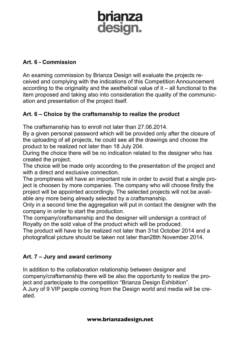## brianza design.

## **Art. 6 - Commission**

An examing commission by Brianza Design will evaluate the projects received and complying with the indications of this Competition Announcement according to the originality and the aesthetical value of it – all functional to the item proposed and taking also into consideration the quality of the communication and presentation of the project itself.

## **Art. 6 – Choice by the craftsmanship to realize the product**

The craftsmanship has to enroll not later than 27.06.2014.

By a given personal password which will be provided only after the closure of the uploading of all projects, he could see all the drawings and choose the product to be realized not later than 18 July 204.

During the choice there will be no indication related to the designer who has created the project.

The choice will be made only according to the presentation of the project and with a direct and exclusive connection.

The promptness will have an important role in order to avoid that a single project is choosen by more companies. The company who will choose firstly the project will be appointed accordingly. The selected projects will not be available any more being already selected by a craftsmanship.

Only in a second time the aggregation will put in contact the designer with the company in order to start the production.

The company/craftsmanship and the designer will undersign a contract of Royalty on the sold value of the product which will be produced.

The product will have to be realized not later than 31st October 2014 and a photografical picture should be taken not later than28th November 2014.

## **Art. 7 – Jury and award cerimony**

In addition to the collaboration relationship between designer and company/craftsmanship there will be also the opportunity to realize the project and partecipate to the competition "Brianza Design Exhibition". A Jury of 9 VIP people coming from the Design world and media will be created.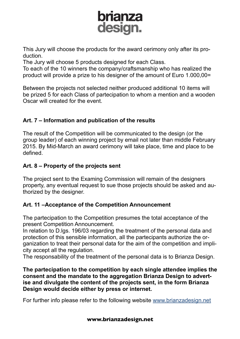

This Jury will choose the products for the award cerimony only after its production.

The Jury will choose 5 products designed for each Class.

To each of the 10 winners the company/craftsmanship who has realized the product will provide a prize to his designer of the amount of Euro 1.000,00=

Between the projects not selected neither produced additional 10 items will be prized 5 for each Class of partecipation to whom a mention and a wooden Oscar will created for the event.

## **Art. 7 – Information and publication of the results**

The result of the Competition will be communicated to the design (or the group leader) of each winning project by email not later than middle February 2015. By Mid-March an award cerimony will take place, time and place to be defined.

## **Art. 8 – Property of the projects sent**

The project sent to the Examing Commission will remain of the designers property, any eventual request to sue those projects should be asked and authorized by the designer.

## **Art. 11 –Acceptance of the Competition Announcement**

The partecipation to the Competition presumes the total acceptance of the present Competition Announcement.

In relation to D.lgs. 196/03 regarding the treatment of the personal data and protection of this sensible information, all the partecipants authorize the organization to treat their personal data for the aim of the competition and implicity accept all the regulation.

The responsability of the treatment of the personal data is to Brianza Design.

**The partecipation to the competition by each single attendee implies the consent and the mandate to the aggregation Brianza Design to advertise and divulgate the content of the projects sent, in the form Brianza Design would decide either by press or internet.**

For further info please refer to the following website www.brianzadesign.net